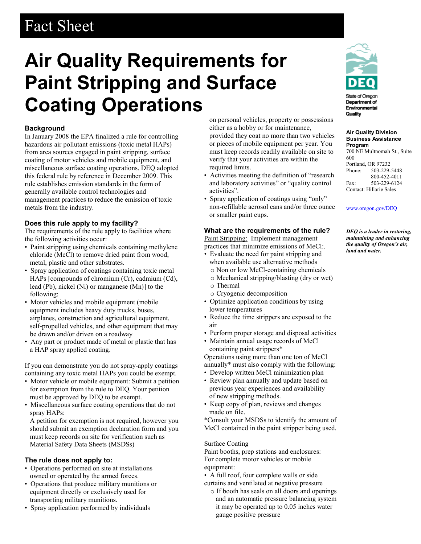# Fact Sheet

# **Air Quality Requirements for Paint Stripping and Surface Coating Operations**

### **Background**

In January 2008 the EPA finalized a rule for controlling hazardous air pollutant emissions (toxic metal HAPs) from area sources engaged in paint stripping, surface coating of motor vehicles and mobile equipment, and miscellaneous surface coating operations. DEQ adopted this federal rule by reference in December 2009. This rule establishes emission standards in the form of generally available control technologies and management practices to reduce the emission of toxic metals from the industry.

### **Does this rule apply to my facility?**

The requirements of the rule apply to facilities where the following activities occur:

- Paint stripping using chemicals containing methylene chloride (MeCl) to remove dried paint from wood, metal, plastic and other substrates.
- Spray application of coatings containing toxic metal HAPs [compounds of chromium (Cr), cadmium (Cd), lead (Pb), nickel (Ni) or manganese (Mn)] to the following:
- Motor vehicles and mobile equipment (mobile equipment includes heavy duty trucks, buses, airplanes, construction and agricultural equipment, self-propelled vehicles, and other equipment that may be drawn and/or driven on a roadway
- Any part or product made of metal or plastic that has a HAP spray applied coating.

If you can demonstrate you do not spray-apply coatings containing any toxic metal HAPs you could be exempt.

- Motor vehicle or mobile equipment: Submit a petition for exemption from the rule to DEQ. Your petition must be approved by DEQ to be exempt.
- Miscellaneous surface coating operations that do not spray HAPs:

 A petition for exemption is not required, however you should submit an exemption declaration form and you must keep records on site for verification such as Material Safety Data Sheets (MSDSs)

### **The rule does not apply to:**

- Operations performed on site at installations owned or operated by the armed forces.
- Operations that produce military munitions or equipment directly or exclusively used for transporting military munitions.
- Spray application performed by individuals

 on personal vehicles, property or possessions either as a hobby or for maintenance, provided they coat no more than two vehicles or pieces of mobile equipment per year. You must keep records readily available on site to verify that your activities are within the required limits.

- Activities meeting the definition of "research and laboratory activities" or "quality control activities".
- Spray application of coatings using "only" non-refillable aerosol cans and/or three ounce or smaller paint cups.

## **What are the requirements of the rule?**

Paint Stripping: Implement management practices that minimize emissions of MeCl:.

- Evaluate the need for paint stripping and when available use alternative methods
	- o Non or low MeCl-containing chemicals
	- o Mechanical stripping/blasting (dry or wet)
	- o Thermal
	- o Cryogenic decomposition
- Optimize application conditions by using lower temperatures
- Reduce the time strippers are exposed to the air
- Perform proper storage and disposal activities
- Maintain annual usage records of MeCl containing paint strippers\*

Operations using more than one ton of MeCl annually\* must also comply with the following:

- Develop written MeCl minimization plan
- Review plan annually and update based on previous year experiences and availability of new stripping methods.
- Keep copy of plan, reviews and changes made on file.

\*Consult your MSDSs to identify the amount of MeCl contained in the paint stripper being used.

### Surface Coating

Paint booths, prep stations and enclosures: For complete motor vehicles or mobile equipment:

• A full roof, four complete walls or side curtains and ventilated at negative pressure

o If booth has seals on all doors and openings and an automatic pressure balancing system it may be operated up to 0.05 inches water gauge positive pressure



Quality

**Air Quality Division Business Assistance** 

**Program** 700 NE Multnomah St., Suite 600 Portland, OR 97232 Phone: 503-229-5448 800-452-4011 Fax: 503-229-6124 Contact: Hillarie Sales

[www.oregon.gov/DEQ](file://deq001/templates/General/www.oregon.gov/DEQ)

*DEQ is a leader in restoring, maintaining and enhancing the quality of Oregon's air, land and water.*